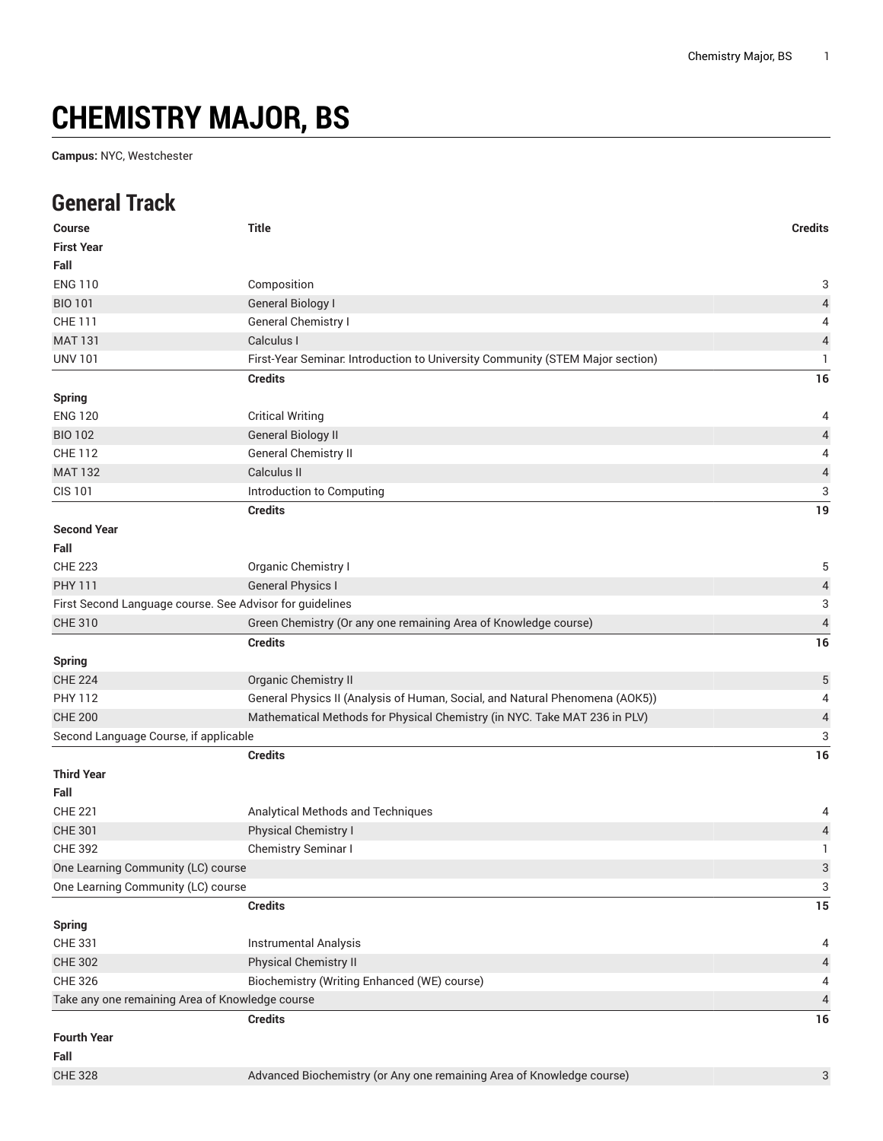## **CHEMISTRY MAJOR, BS**

**Campus:** NYC, Westchester

## **General Track**

| <b>Course</b><br><b>First Year</b>              | <b>Title</b>                                                                  | <b>Credits</b>            |
|-------------------------------------------------|-------------------------------------------------------------------------------|---------------------------|
| Fall                                            |                                                                               |                           |
| <b>ENG 110</b>                                  | Composition                                                                   | 3                         |
| <b>BIO 101</b>                                  | <b>General Biology I</b>                                                      | $\sqrt{4}$                |
| <b>CHE 111</b>                                  | <b>General Chemistry I</b>                                                    | 4                         |
| <b>MAT 131</b>                                  | Calculus I                                                                    | $\sqrt{4}$                |
| <b>UNV 101</b>                                  | First-Year Seminar. Introduction to University Community (STEM Major section) | $\mathbf{1}$              |
|                                                 | <b>Credits</b>                                                                | 16                        |
| <b>Spring</b>                                   |                                                                               |                           |
| <b>ENG 120</b>                                  | <b>Critical Writing</b>                                                       | 4                         |
| <b>BIO 102</b>                                  | <b>General Biology II</b>                                                     | $\overline{a}$            |
| <b>CHE 112</b>                                  | General Chemistry II                                                          | $\overline{4}$            |
| <b>MAT 132</b>                                  | Calculus II                                                                   | $\sqrt{4}$                |
| <b>CIS 101</b>                                  | Introduction to Computing                                                     | 3                         |
|                                                 | <b>Credits</b>                                                                | 19                        |
| <b>Second Year</b>                              |                                                                               |                           |
| Fall                                            |                                                                               |                           |
| <b>CHE 223</b>                                  | Organic Chemistry I                                                           | 5                         |
| <b>PHY 111</b>                                  | <b>General Physics I</b>                                                      | $\overline{a}$            |
|                                                 | First Second Language course. See Advisor for guidelines                      | $\ensuremath{\mathsf{3}}$ |
| <b>CHE 310</b>                                  | Green Chemistry (Or any one remaining Area of Knowledge course)               | $\overline{4}$            |
|                                                 | <b>Credits</b>                                                                | 16                        |
| <b>Spring</b>                                   |                                                                               |                           |
| <b>CHE 224</b>                                  | Organic Chemistry II                                                          | $\sqrt{5}$                |
| <b>PHY 112</b>                                  | General Physics II (Analysis of Human, Social, and Natural Phenomena (AOK5))  | 4                         |
| <b>CHE 200</b>                                  | Mathematical Methods for Physical Chemistry (in NYC. Take MAT 236 in PLV)     | $\sqrt{4}$                |
| Second Language Course, if applicable           |                                                                               | 3                         |
|                                                 | <b>Credits</b>                                                                | 16                        |
| <b>Third Year</b>                               |                                                                               |                           |
| Fall                                            |                                                                               |                           |
| <b>CHE 221</b>                                  | Analytical Methods and Techniques                                             | 4                         |
| <b>CHE 301</b>                                  | Physical Chemistry I                                                          | $\overline{\mathcal{L}}$  |
| <b>CHE 392</b>                                  | Chemistry Seminar I                                                           | 1                         |
| One Learning Community (LC) course              |                                                                               | $\mathbf{3}$              |
| One Learning Community (LC) course              |                                                                               | 3                         |
|                                                 | <b>Credits</b>                                                                | 15                        |
| <b>Spring</b>                                   |                                                                               |                           |
| CHE 331                                         | <b>Instrumental Analysis</b>                                                  | 4                         |
| <b>CHE 302</b>                                  | Physical Chemistry II                                                         | $\overline{4}$            |
| <b>CHE 326</b>                                  | Biochemistry (Writing Enhanced (WE) course)                                   | 4                         |
| Take any one remaining Area of Knowledge course |                                                                               | $\overline{4}$            |
|                                                 | <b>Credits</b>                                                                | 16                        |
| <b>Fourth Year</b>                              |                                                                               |                           |
| Fall                                            |                                                                               |                           |